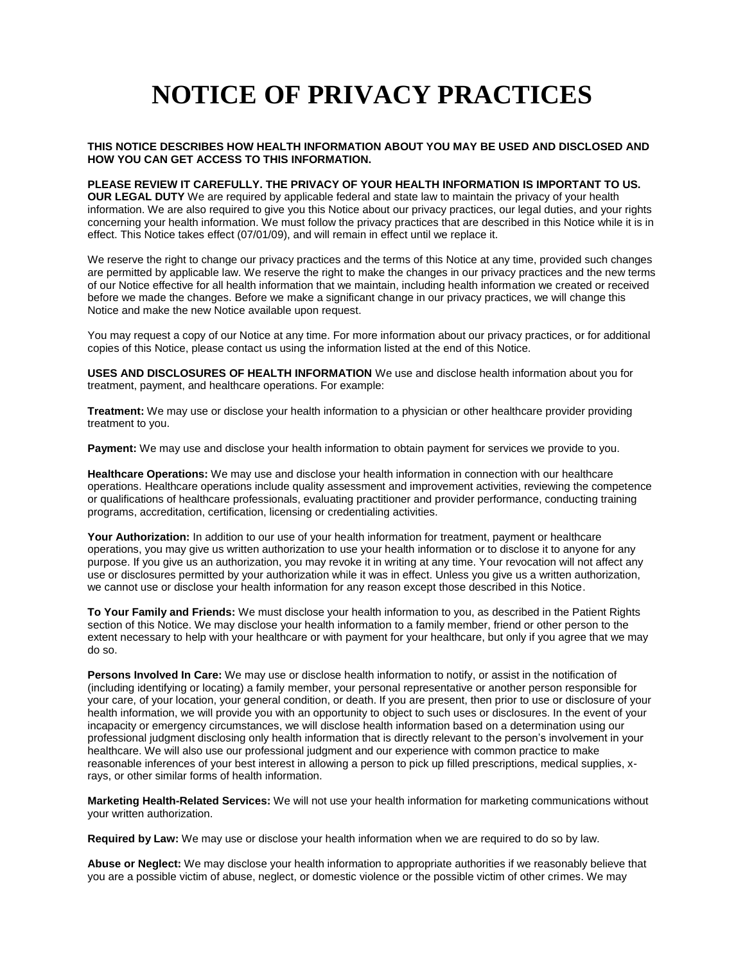## **NOTICE OF PRIVACY PRACTICES**

## **THIS NOTICE DESCRIBES HOW HEALTH INFORMATION ABOUT YOU MAY BE USED AND DISCLOSED AND HOW YOU CAN GET ACCESS TO THIS INFORMATION.**

## **PLEASE REVIEW IT CAREFULLY. THE PRIVACY OF YOUR HEALTH INFORMATION IS IMPORTANT TO US.**

**OUR LEGAL DUTY** We are required by applicable federal and state law to maintain the privacy of your health information. We are also required to give you this Notice about our privacy practices, our legal duties, and your rights concerning your health information. We must follow the privacy practices that are described in this Notice while it is in effect. This Notice takes effect (07/01/09), and will remain in effect until we replace it.

We reserve the right to change our privacy practices and the terms of this Notice at any time, provided such changes are permitted by applicable law. We reserve the right to make the changes in our privacy practices and the new terms of our Notice effective for all health information that we maintain, including health information we created or received before we made the changes. Before we make a significant change in our privacy practices, we will change this Notice and make the new Notice available upon request.

You may request a copy of our Notice at any time. For more information about our privacy practices, or for additional copies of this Notice, please contact us using the information listed at the end of this Notice.

**USES AND DISCLOSURES OF HEALTH INFORMATION** We use and disclose health information about you for treatment, payment, and healthcare operations. For example:

**Treatment:** We may use or disclose your health information to a physician or other healthcare provider providing treatment to you.

**Payment:** We may use and disclose your health information to obtain payment for services we provide to you.

**Healthcare Operations:** We may use and disclose your health information in connection with our healthcare operations. Healthcare operations include quality assessment and improvement activities, reviewing the competence or qualifications of healthcare professionals, evaluating practitioner and provider performance, conducting training programs, accreditation, certification, licensing or credentialing activities.

**Your Authorization:** In addition to our use of your health information for treatment, payment or healthcare operations, you may give us written authorization to use your health information or to disclose it to anyone for any purpose. If you give us an authorization, you may revoke it in writing at any time. Your revocation will not affect any use or disclosures permitted by your authorization while it was in effect. Unless you give us a written authorization, we cannot use or disclose your health information for any reason except those described in this Notice.

**To Your Family and Friends:** We must disclose your health information to you, as described in the Patient Rights section of this Notice. We may disclose your health information to a family member, friend or other person to the extent necessary to help with your healthcare or with payment for your healthcare, but only if you agree that we may do so.

**Persons Involved In Care:** We may use or disclose health information to notify, or assist in the notification of (including identifying or locating) a family member, your personal representative or another person responsible for your care, of your location, your general condition, or death. If you are present, then prior to use or disclosure of your health information, we will provide you with an opportunity to object to such uses or disclosures. In the event of your incapacity or emergency circumstances, we will disclose health information based on a determination using our professional judgment disclosing only health information that is directly relevant to the person's involvement in your healthcare. We will also use our professional judgment and our experience with common practice to make reasonable inferences of your best interest in allowing a person to pick up filled prescriptions, medical supplies, xrays, or other similar forms of health information.

**Marketing Health-Related Services:** We will not use your health information for marketing communications without your written authorization.

**Required by Law:** We may use or disclose your health information when we are required to do so by law.

**Abuse or Neglect:** We may disclose your health information to appropriate authorities if we reasonably believe that you are a possible victim of abuse, neglect, or domestic violence or the possible victim of other crimes. We may